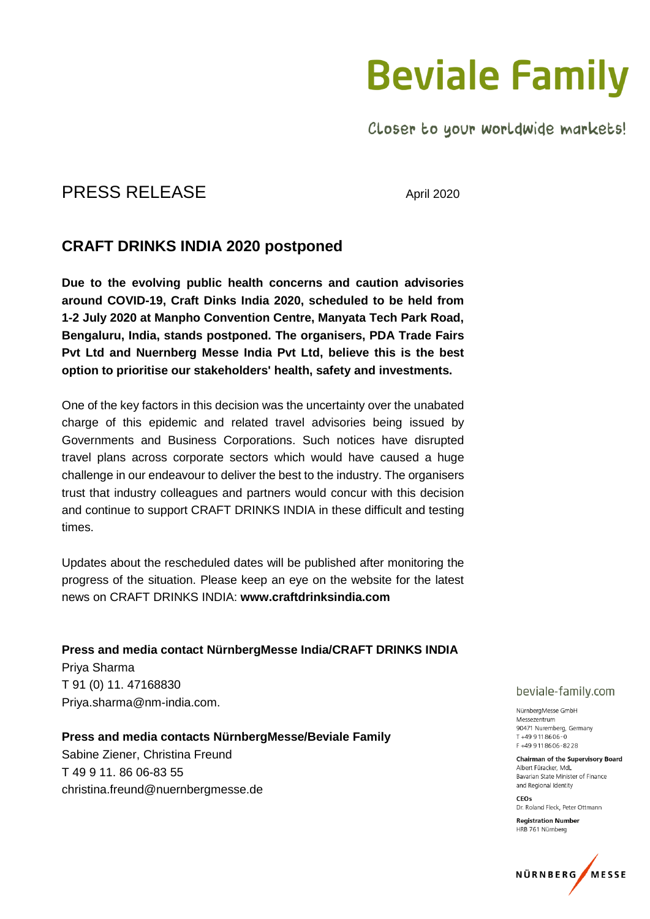## **Beviale Family**

Closer to your worldwide markets!

### PRESS RELEASE April 2020

### **CRAFT DRINKS INDIA 2020 postponed**

**Due to the evolving public health concerns and caution advisories around COVID-19, Craft Dinks India 2020, scheduled to be held from 1-2 July 2020 at Manpho Convention Centre, Manyata Tech Park Road, Bengaluru, India, stands postponed. The organisers, PDA Trade Fairs Pvt Ltd and Nuernberg Messe India Pvt Ltd, believe this is the best option to prioritise our stakeholders' health, safety and investments.**

One of the key factors in this decision was the uncertainty over the unabated charge of this epidemic and related travel advisories being issued by Governments and Business Corporations. Such notices have disrupted travel plans across corporate sectors which would have caused a huge challenge in our endeavour to deliver the best to the industry. The organisers trust that industry colleagues and partners would concur with this decision and continue to support CRAFT DRINKS INDIA in these difficult and testing times.

Updates about the rescheduled dates will be published after monitoring the progress of the situation. Please keep an eye on the website for the latest news on CRAFT DRINKS INDIA: **[www.craftdrinksindia.com](http://www.craftdrinksindia.com/)**

**Press and media contact NürnbergMesse India/CRAFT DRINKS INDIA** Priya Sharma T 91 (0) 11. 47168830 Priya.sharma@nm-india.com.

**Press and media contacts NürnbergMesse/Beviale Family** Sabine Ziener, Christina Freund T 49 9 11. 86 06-83 55 christina.freund@nuernbergmesse.de

#### beviale-family.com

NürnbergMesse GmbH Messezentrum 90471 Nuremberg, Germany  $T + 499118606 - 0$ F+499118606-8228

**Chairman of the Supervisory Board** Albert Füracker, MdL Bavarian State Minister of Finance and Regional Identity

CEO<sub>s</sub> Dr. Roland Fleck, Peter Ottmann

**Registration Number** HRB 761 Nürnberg